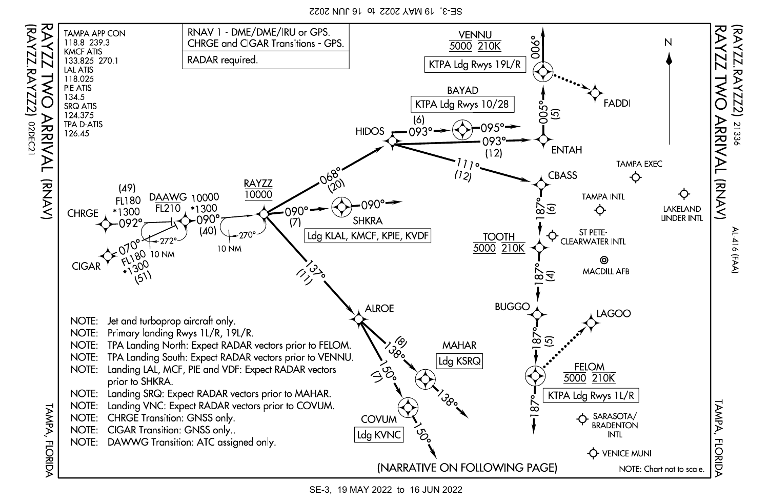SE-3, 19 MAY 2022 to 16 JUN 2022



SE-3, 19 MAY 2022 to 16 JUN 2022